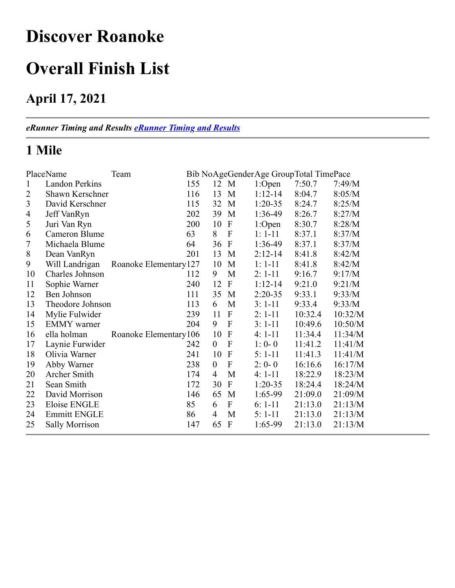## **Discover Roanoke**

## **Overall Finish List**

### **April 17, 2021**

*eRunner Timing and Results [eRunner Timing and Results](http://www.erunner.biz/)*

### **1 Mile**

|                | PlaceName             | Team                   |     |                  |                           |             | Bib NoAgeGenderAge GroupTotal TimePace |         |
|----------------|-----------------------|------------------------|-----|------------------|---------------------------|-------------|----------------------------------------|---------|
| $\mathbf{1}$   | <b>Landon Perkins</b> |                        | 155 | 12 M             |                           | 1:Open      | 7:50.7                                 | 7:49/M  |
| 2              | Shawn Kerschner       |                        | 116 | 13               | M                         | $1:12-14$   | 8:04.7                                 | 8:05/M  |
| 3              | David Kerschner       |                        | 115 | 32               | M                         | $1:20-35$   | 8:24.7                                 | 8:25/M  |
| $\overline{4}$ | Jeff VanRyn           |                        | 202 | 39               | M                         | 1:36-49     | 8:26.7                                 | 8:27/M  |
| 5              | Juri Van Ryn          |                        | 200 | 10               | $\mathbf{F}$              | 1:Open      | 8:30.7                                 | 8:28/M  |
| 6              | Cameron Blume         |                        | 63  | 8                | $\mathbf{F}$              | $1: 1 - 11$ | 8:37.1                                 | 8:37/M  |
| 7              | Michaela Blume        |                        | 64  | 36               | $\boldsymbol{\mathrm{F}}$ | 1:36-49     | 8:37.1                                 | 8:37/M  |
| $\,8\,$        | Dean VanRyn           |                        | 201 | 13               | M                         | $2:12-14$   | 8:41.8                                 | 8:42/M  |
| 9              | Will Landrigan        | Roanoke Elementary 127 |     | 10               | M                         | $1: 1-11$   | 8:41.8                                 | 8:42/M  |
| 10             | Charles Johnson       |                        | 112 | 9                | M                         | $2: 1-11$   | 9:16.7                                 | 9:17/M  |
| 11             | Sophie Warner         |                        | 240 | 12               | $\mathbf{F}$              | $1:12-14$   | 9:21.0                                 | 9:21/M  |
| 12             | Ben Johnson           |                        | 111 | 35               | M                         | $2:20-35$   | 9:33.1                                 | 9:33/M  |
| 13             | Theodore Johnson      |                        | 113 | 6                | M                         | $3: 1-11$   | 9:33.4                                 | 9:33/M  |
| 14             | Mylie Fulwider        |                        | 239 | 11               | $\mathbf{F}$              | $2: 1-11$   | 10:32.4                                | 10:32/M |
| 15             | <b>EMMY</b> warner    |                        | 204 | 9                | $\mathbf{F}$              | $3: 1-11$   | 10:49.6                                | 10:50/M |
| 16             | ella holman           | Roanoke Elementary 106 |     | 10               | $\mathbf{F}$              | $4:1-11$    | 11:34.4                                | 11:34/M |
| 17             | Laynie Furwider       |                        | 242 | $\boldsymbol{0}$ | $\boldsymbol{\mathrm{F}}$ | $1:0-0$     | 11:41.2                                | 11:41/M |
| 18             | Olivia Warner         |                        | 241 | 10               | $\mathbf{F}$              | $5:1-11$    | 11:41.3                                | 11:41/M |
| 19             | Abby Warner           |                        | 238 | $\theta$         | $\mathbf F$               | $2: 0 - 0$  | 16:16.6                                | 16:17/M |
| 20             | Archer Smith          |                        | 174 | 4                | M                         | $4:1-11$    | 18:22.9                                | 18:23/M |
| 21             | Sean Smith            |                        | 172 | 30               | $\mathbf{F}$              | $1:20-35$   | 18:24.4                                | 18:24/M |
| 22             | David Morrison        |                        | 146 | 65               | M                         | 1:65-99     | 21:09.0                                | 21:09/M |
| 23             | Eloise ENGLE          |                        | 85  | 6                | $\mathbf F$               | $6: 1-11$   | 21:13.0                                | 21:13/M |
| 24             | <b>Emmitt ENGLE</b>   |                        | 86  | $\overline{4}$   | M                         | $5: 1-11$   | 21:13.0                                | 21:13/M |
| 25             | <b>Sally Morrison</b> |                        | 147 | 65               | $\mathbf{F}$              | 1:65-99     | 21:13.0                                | 21:13/M |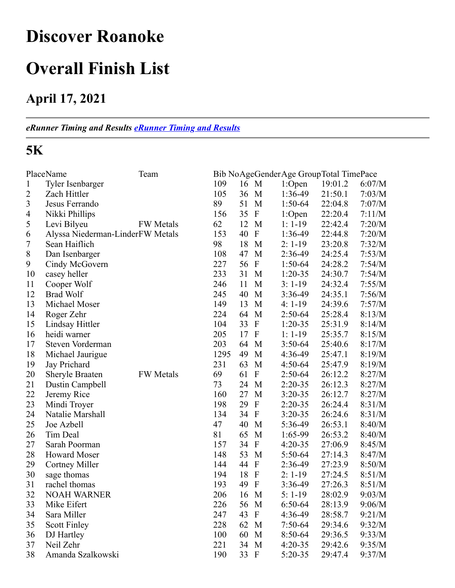## **Discover Roanoke**

### **Overall Finish List**

### **April 17, 2021**

*eRunner Timing and Results [eRunner Timing and Results](http://www.erunner.biz/)*

#### **5K**

|                | PlaceName                        | Team             |      |    |                           | Bib NoAgeGenderAge GroupTotal TimePace |         |        |
|----------------|----------------------------------|------------------|------|----|---------------------------|----------------------------------------|---------|--------|
| $\mathbf{1}$   | Tyler Isenbarger                 |                  | 109  | 16 | M                         | 1:Open                                 | 19:01.2 | 6:07/M |
| $\overline{c}$ | Zach Hittler                     |                  | 105  | 36 | M                         | 1:36-49                                | 21:50.1 | 7:03/M |
| 3              | Jesus Ferrando                   |                  | 89   | 51 | M                         | $1:50-64$                              | 22:04.8 | 7:07/M |
| $\overline{4}$ | Nikki Phillips                   |                  | 156  | 35 | $\mathbf{F}$              | 1:Open                                 | 22:20.4 | 7:11/M |
| 5              | Levi Bilyeu                      | <b>FW</b> Metals | 62   | 12 | M                         | $1: 1-19$                              | 22:42.4 | 7:20/M |
| 6              | Alyssa Niederman-LinderFW Metals |                  | 153  | 40 | $\boldsymbol{\mathrm{F}}$ | 1:36-49                                | 22:44.8 | 7:20/M |
| 7              | Sean Haiflich                    |                  | 98   | 18 | M                         | $2: 1-19$                              | 23:20.8 | 7:32/M |
| 8              | Dan Isenbarger                   |                  | 108  | 47 | M                         | 2:36-49                                | 24:25.4 | 7:53/M |
| 9              | Cindy McGovern                   |                  | 227  | 56 | $\mathbf{F}$              | $1:50-64$                              | 24:28.2 | 7:54/M |
| 10             | casey heller                     |                  | 233  | 31 | M                         | $1:20-35$                              | 24:30.7 | 7:54/M |
| 11             | Cooper Wolf                      |                  | 246  | 11 | M                         | $3:1-19$                               | 24:32.4 | 7:55/M |
| 12             | <b>Brad Wolf</b>                 |                  | 245  | 40 | M                         | 3:36-49                                | 24:35.1 | 7:56/M |
| 13             | Michael Moser                    |                  | 149  | 13 | M                         | $4:1-19$                               | 24:39.6 | 7:57/M |
| 14             | Roger Zehr                       |                  | 224  | 64 | M                         | $2:50-64$                              | 25:28.4 | 8:13/M |
| 15             | Lindsay Hittler                  |                  | 104  | 33 | $\boldsymbol{\mathrm{F}}$ | $1:20-35$                              | 25:31.9 | 8:14/M |
| 16             | heidi warner                     |                  | 205  | 17 | $\boldsymbol{\mathrm{F}}$ | $1: 1-19$                              | 25:35.7 | 8:15/M |
| 17             | Steven Vorderman                 |                  | 203  | 64 | M                         | $3:50-64$                              | 25:40.6 | 8:17/M |
| 18             | Michael Jaurigue                 |                  | 1295 | 49 | M                         | 4:36-49                                | 25:47.1 | 8:19/M |
| 19             | Jay Prichard                     |                  | 231  | 63 | M                         | $4:50-64$                              | 25:47.9 | 8:19/M |
| 20             | <b>Sheryle Braaten</b>           | FW Metals        | 69   | 61 | $\boldsymbol{\mathrm{F}}$ | $2:50-64$                              | 26:12.2 | 8:27/M |
| 21             | Dustin Campbell                  |                  | 73   | 24 | M                         | $2:20-35$                              | 26:12.3 | 8:27/M |
| 22             | Jeremy Rice                      |                  | 160  | 27 | M                         | $3:20-35$                              | 26:12.7 | 8:27/M |
| 23             | Mindi Troyer                     |                  | 198  | 29 | $\boldsymbol{F}$          | $2:20-35$                              | 26:24.4 | 8:31/M |
| 24             | Natalie Marshall                 |                  | 134  | 34 | $\boldsymbol{F}$          | $3:20-35$                              | 26:24.6 | 8:31/M |
| 25             | Joe Azbell                       |                  | 47   | 40 | M                         | 5:36-49                                | 26:53.1 | 8:40/M |
| 26             | Tim Deal                         |                  | 81   | 65 | M                         | 1:65-99                                | 26:53.2 | 8:40/M |
| 27             | Sarah Poorman                    |                  | 157  | 34 | $\boldsymbol{\mathrm{F}}$ | $4:20-35$                              | 27:06.9 | 8:45/M |
| 28             | <b>Howard Moser</b>              |                  | 148  | 53 | M                         | 5:50-64                                | 27:14.3 | 8:47/M |
| 29             | Cortney Miller                   |                  | 144  | 44 | $\boldsymbol{F}$          | 2:36-49                                | 27:23.9 | 8:50/M |
| 30             | sage thomas                      |                  | 194  | 18 | $\boldsymbol{\mathrm{F}}$ | $2: 1-19$                              | 27:24.5 | 8:51/M |
| 31             | rachel thomas                    |                  | 193  | 49 | $\mathbf{F}$              | $3:36-49$                              | 27:26.3 | 8:51/M |
| 32             | <b>NOAH WARNER</b>               |                  | 206  | 16 | M                         | $5:1-19$                               | 28:02.9 | 9:03/M |
| 33             | Mike Eifert                      |                  | 226  | 56 | M                         | 6:50-64                                | 28:13.9 | 9:06/M |
| 34             | Sara Miller                      |                  | 247  | 43 | $\mathbf F$               | 4:36-49                                | 28:58.7 | 9:21/M |
| 35             | <b>Scott Finley</b>              |                  | 228  | 62 | M                         | $7:50-64$                              | 29:34.6 | 9:32/M |
| 36             | DJ Hartley                       |                  | 100  | 60 | M                         | 8:50-64                                | 29:36.5 | 9:33/M |
| 37             | Neil Zehr                        |                  | 221  | 34 | M                         | $4:20-35$                              | 29:42.6 | 9:35/M |
| 38             | Amanda Szalkowski                |                  | 190  | 33 | $\mathbf{F}$              | 5:20-35                                | 29:47.4 | 9:37/M |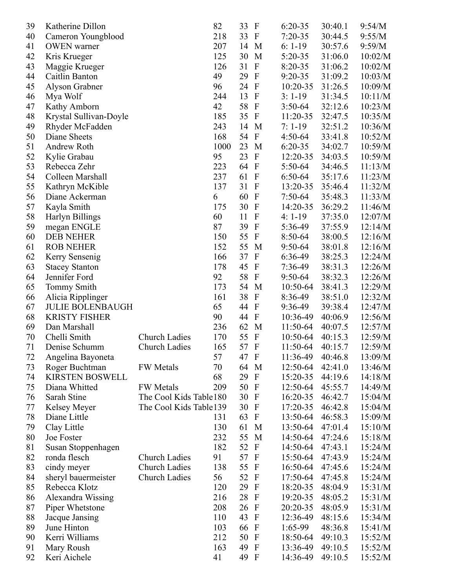| 39 | Katherine Dillon        |                         | 82   | 33 | $\mathbf{F}$              | $6:20-35$ | 30:40.1 | 9:54/M  |
|----|-------------------------|-------------------------|------|----|---------------------------|-----------|---------|---------|
| 40 | Cameron Youngblood      |                         | 218  | 33 | $\mathbf{F}$              | $7:20-35$ | 30:44.5 | 9:55/M  |
| 41 | <b>OWEN</b> warner      |                         | 207  | 14 | M                         | $6: 1-19$ | 30:57.6 | 9:59/M  |
| 42 | Kris Krueger            |                         | 125  | 30 | M                         | 5:20-35   | 31:06.0 | 10:02/M |
| 43 | Maggie Krueger          |                         | 126  | 31 | $\boldsymbol{\mathrm{F}}$ | $8:20-35$ | 31:06.2 | 10:02/M |
| 44 | Caitlin Banton          |                         | 49   | 29 | $\mathbf{F}$              | $9:20-35$ | 31:09.2 | 10:03/M |
| 45 | Alyson Grabner          |                         | 96   | 24 | $\mathbf{F}$              | 10:20-35  | 31:26.5 | 10:09/M |
| 46 | Mya Wolf                |                         | 244  | 13 | $\mathbf{F}$              | $3:1-19$  | 31:34.5 | 10:11/M |
| 47 | Kathy Amborn            |                         | 42   | 58 | $\mathbf F$               | $3:50-64$ | 32:12.6 | 10:23/M |
| 48 | Krystal Sullivan-Doyle  |                         | 185  | 35 | $\mathbf{F}$              | 11:20-35  | 32:47.5 | 10:35/M |
| 49 | Rhyder McFadden         |                         | 243  | 14 | M                         | $7:1-19$  | 32:51.2 | 10:36/M |
| 50 | Diane Sheets            |                         | 168  | 54 | $\mathbf F$               | $4:50-64$ | 33:41.8 | 10:52/M |
| 51 | Andrew Roth             |                         | 1000 | 23 | M                         | $6:20-35$ | 34:02.7 | 10:59/M |
| 52 | Kylie Grabau            |                         | 95   | 23 | $\mathbf{F}$              | 12:20-35  | 34:03.5 | 10:59/M |
| 53 | Rebecca Zehr            |                         | 223  | 64 | $\mathbf{F}$              | 5:50-64   | 34:46.5 | 11:13/M |
| 54 | Colleen Marshall        |                         | 237  | 61 | $\mathbf{F}$              | 6:50-64   | 35:17.6 | 11:23/M |
| 55 | Kathryn McKible         |                         | 137  | 31 | $\mathbf F$               | 13:20-35  | 35:46.4 | 11:32/M |
| 56 | Diane Ackerman          |                         | 6    | 60 | $\mathbf{F}$              | $7:50-64$ | 35:48.3 | 11:33/M |
| 57 | Kayla Smith             |                         | 175  | 30 | $\mathbf{F}$              | 14:20-35  | 36:29.2 | 11:46/M |
| 58 | Harlyn Billings         |                         | 60   | 11 | $\boldsymbol{\mathrm{F}}$ | $4:1-19$  | 37:35.0 | 12:07/M |
| 59 | megan ENGLE             |                         | 87   | 39 | $\mathbf F$               | 5:36-49   | 37:55.9 | 12:14/M |
| 60 | <b>DEB NEHER</b>        |                         | 150  | 55 | $\mathbf{F}$              | 8:50-64   | 38:00.5 | 12:16/M |
| 61 | <b>ROB NEHER</b>        |                         | 152  | 55 | M                         | 9:50-64   | 38:01.8 | 12:16/M |
| 62 | Kerry Sensenig          |                         | 166  | 37 | $\mathbf{F}$              | 6:36-49   | 38:25.3 | 12:24/M |
| 63 | <b>Stacey Stanton</b>   |                         | 178  | 45 | $\mathbf F$               | 7:36-49   | 38:31.3 | 12:26/M |
| 64 | Jennifer Ford           |                         | 92   | 58 | $\mathbf{F}$              | $9:50-64$ | 38:32.3 | 12:26/M |
| 65 | <b>Tommy Smith</b>      |                         | 173  | 54 | M                         | 10:50-64  | 38:41.3 | 12:29/M |
| 66 | Alicia Ripplinger       |                         | 161  | 38 | $\mathbf F$               | 8:36-49   | 38:51.0 | 12:32/M |
| 67 | <b>JULIE BOLENBAUGH</b> |                         | 65   | 44 | $\mathbf{F}$              | 9:36-49   | 39:38.4 | 12:47/M |
| 68 | <b>KRISTY FISHER</b>    |                         | 90   | 44 | $\mathbf{F}$              | 10:36-49  | 40:06.9 | 12:56/M |
| 69 | Dan Marshall            |                         | 236  | 62 | M                         | 11:50-64  | 40:07.5 | 12:57/M |
| 70 | Chelli Smith            | <b>Church Ladies</b>    | 170  | 55 | $\mathbf{F}$              | 10:50-64  | 40:15.3 | 12:59/M |
| 71 | Denise Schumm           | Church Ladies           | 165  | 57 | $\mathbf F$               | 11:50-64  | 40:15.7 | 12:59/M |
| 72 | Angelina Bayoneta       |                         | 57   | 47 | $\mathbf{F}$              | 11:36-49  | 40:46.8 | 13:09/M |
| 73 | Roger Buchtman          | <b>FW</b> Metals        | 70   | 64 | M                         | 12:50-64  | 42:41.0 | 13:46/M |
| 74 | <b>KIRSTEN BOSWELL</b>  |                         | 68   | 29 | $\mathbf{F}$              | 15:20-35  | 44:19.6 | 14:18/M |
| 75 | Diana Whitted           | <b>FW</b> Metals        | 209  | 50 | $\mathbf{F}$              | 12:50-64  | 45:55.7 | 14:49/M |
| 76 | Sarah Stine             | The Cool Kids Table 180 |      | 30 | $\mathbf{F}$              | 16:20-35  | 46:42.7 | 15:04/M |
| 77 | Kelsey Meyer            | The Cool Kids Table 139 |      | 30 | $\mathbf{F}$              | 17:20-35  | 46:42.8 | 15:04/M |
| 78 | Diane Little            |                         | 131  | 63 | $\mathbf{F}$              | 13:50-64  | 46:58.3 | 15:09/M |
| 79 | Clay Little             |                         | 130  | 61 | M                         | 13:50-64  | 47:01.4 | 15:10/M |
| 80 | Joe Foster              |                         | 232  | 55 | M                         | 14:50-64  | 47:24.6 | 15:18/M |
| 81 | Susan Stoppenhagen      |                         | 182  | 52 | $\mathbf{F}$              | 14:50-64  | 47:43.1 | 15:24/M |
| 82 | ronda flesch            | <b>Church Ladies</b>    | 91   | 57 | $\mathbf{F}$              | 15:50-64  | 47:43.9 | 15:24/M |
| 83 | cindy meyer             | <b>Church Ladies</b>    | 138  | 55 | $\mathbf{F}$              | 16:50-64  | 47:45.6 | 15:24/M |
| 84 | sheryl bauermeister     | Church Ladies           | 56   | 52 | $\mathbf{F}$              | 17:50-64  | 47:45.8 | 15:24/M |
| 85 | Rebecca Klotz           |                         | 120  | 29 | $\mathbf{F}$              | 18:20-35  | 48:04.9 | 15:31/M |
| 86 | Alexandra Wissing       |                         | 216  | 28 | $\mathbf{F}$              | 19:20-35  | 48:05.2 | 15:31/M |
| 87 | Piper Whetstone         |                         | 208  | 26 | $\mathbf{F}$              | 20:20-35  | 48:05.9 | 15:31/M |
| 88 | Jacque Jansing          |                         | 110  | 43 | $\mathbf{F}$              | 12:36-49  | 48:15.6 | 15:34/M |
| 89 | June Hinton             |                         | 103  | 66 | $\mathbf{F}$              | $1:65-99$ | 48:36.8 | 15:41/M |
| 90 | Kerri Williams          |                         | 212  | 50 | $\mathbf{F}$              | 18:50-64  | 49:10.3 | 15:52/M |
| 91 | Mary Roush              |                         | 163  | 49 | $\mathbf{F}$              | 13:36-49  | 49:10.5 | 15:52/M |
| 92 | Keri Aichele            |                         | 41   | 49 | $\mathbf{F}$              | 14:36-49  | 49:10.5 | 15:52/M |
|    |                         |                         |      |    |                           |           |         |         |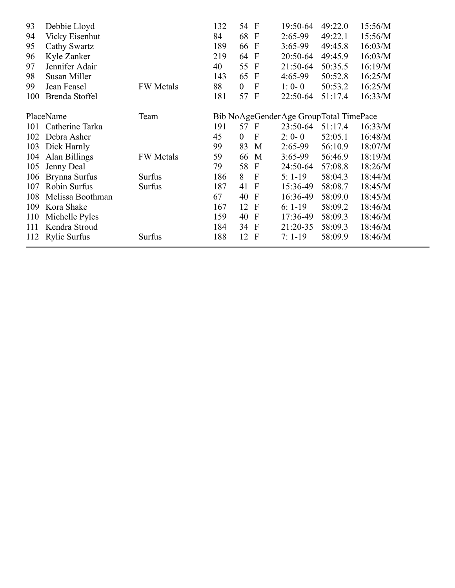| 93  | Debbie Lloyd          |                  | 132 | 54 F             |              | 19:50-64                               | 49:22.0 | 15:56/M |
|-----|-----------------------|------------------|-----|------------------|--------------|----------------------------------------|---------|---------|
| 94  | <b>Vicky Eisenhut</b> |                  | 84  | 68               | $\mathbf{F}$ | $2:65-99$                              | 49:22.1 | 15:56/M |
| 95  | Cathy Swartz          |                  | 189 | 66               | $\mathbf F$  | $3:65-99$                              | 49:45.8 | 16:03/M |
| 96  | Kyle Zanker           |                  | 219 | 64               | $\mathbf F$  | 20:50-64                               | 49:45.9 | 16:03/M |
| 97  | Jennifer Adair        |                  | 40  | 55               | $\mathbf F$  | 21:50-64                               | 50:35.5 | 16:19/M |
| 98  | Susan Miller          |                  | 143 | 65               | $\mathbf{F}$ | 4:65-99                                | 50:52.8 | 16:25/M |
| 99  | Jean Feasel           | <b>FW</b> Metals | 88  | $\boldsymbol{0}$ | $\mathbf{F}$ | $1:0-0$                                | 50:53.2 | 16:25/M |
| 100 | Brenda Stoffel        |                  | 181 | 57 F             |              | 22:50-64                               | 51:17.4 | 16:33/M |
|     |                       |                  |     |                  |              |                                        |         |         |
|     | PlaceName             | Team             |     |                  |              | Bib NoAgeGenderAge GroupTotal TimePace |         |         |
| 101 | Catherine Tarka       |                  | 191 | 57 F             |              | 23:50-64                               | 51:17.4 | 16:33/M |
| 102 | Debra Asher           |                  | 45  | $\theta$         | $\mathbf F$  | $2:0-0$                                | 52:05.1 | 16:48/M |
| 103 | Dick Harnly           |                  | 99  | 83               | M            | $2:65-99$                              | 56:10.9 | 18:07/M |
| 104 | Alan Billings         | <b>FW</b> Metals | 59  | 66               | M            | $3:65-99$                              | 56:46.9 | 18:19/M |
| 105 | Jenny Deal            |                  | 79  | 58               | $\mathbf{F}$ | 24:50-64                               | 57:08.8 | 18:26/M |
| 106 | Brynna Surfus         | Surfus           | 186 | 8                | $\mathbf{F}$ | $5:1-19$                               | 58:04.3 | 18:44/M |
| 107 | Robin Surfus          | Surfus           | 187 | 41               | $\mathbf{F}$ | 15:36-49                               | 58:08.7 | 18:45/M |
| 108 | Melissa Boothman      |                  | 67  | 40               | $\Gamma$     | 16:36-49                               | 58:09.0 | 18:45/M |
| 109 | Kora Shake            |                  | 167 | 12               | $\mathbf F$  | $6: 1-19$                              | 58:09.2 | 18:46/M |
| 110 | Michelle Pyles        |                  | 159 | 40               | $\mathbf F$  | 17:36-49                               | 58:09.3 | 18:46/M |
| 111 | Kendra Stroud         |                  | 184 | 34               | $\mathbf{F}$ | 21:20-35                               | 58:09.3 | 18:46/M |
| 112 | <b>Rylie Surfus</b>   | Surfus           | 188 | 12               | $\mathbf F$  | $7:1-19$                               | 58:09.9 | 18:46/M |
|     |                       |                  |     |                  |              |                                        |         |         |